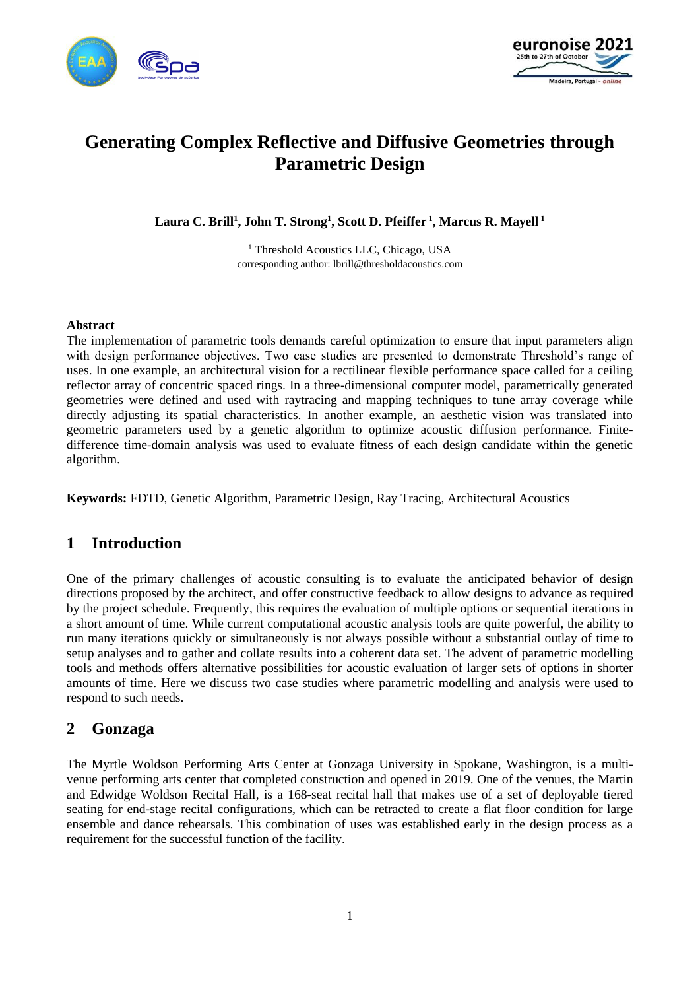



# **Generating Complex Reflective and Diffusive Geometries through Parametric Design**

**Laura C. Brill<sup>1</sup> , John T. Strong<sup>1</sup> , Scott D. Pfeiffer <sup>1</sup> , Marcus R. Mayell <sup>1</sup>**

<sup>1</sup> Threshold Acoustics LLC, Chicago, USA corresponding author: lbrill@thresholdacoustics.com

#### **Abstract**

The implementation of parametric tools demands careful optimization to ensure that input parameters align with design performance objectives. Two case studies are presented to demonstrate Threshold's range of uses. In one example, an architectural vision for a rectilinear flexible performance space called for a ceiling reflector array of concentric spaced rings. In a three-dimensional computer model, parametrically generated geometries were defined and used with raytracing and mapping techniques to tune array coverage while directly adjusting its spatial characteristics. In another example, an aesthetic vision was translated into geometric parameters used by a genetic algorithm to optimize acoustic diffusion performance. Finitedifference time-domain analysis was used to evaluate fitness of each design candidate within the genetic algorithm.

**Keywords:** FDTD, Genetic Algorithm, Parametric Design, Ray Tracing, Architectural Acoustics

# **1 Introduction**

One of the primary challenges of acoustic consulting is to evaluate the anticipated behavior of design directions proposed by the architect, and offer constructive feedback to allow designs to advance as required by the project schedule. Frequently, this requires the evaluation of multiple options or sequential iterations in a short amount of time. While current computational acoustic analysis tools are quite powerful, the ability to run many iterations quickly or simultaneously is not always possible without a substantial outlay of time to setup analyses and to gather and collate results into a coherent data set. The advent of parametric modelling tools and methods offers alternative possibilities for acoustic evaluation of larger sets of options in shorter amounts of time. Here we discuss two case studies where parametric modelling and analysis were used to respond to such needs.

# **2 Gonzaga**

The Myrtle Woldson Performing Arts Center at Gonzaga University in Spokane, Washington, is a multivenue performing arts center that completed construction and opened in 2019. One of the venues, the Martin and Edwidge Woldson Recital Hall, is a 168-seat recital hall that makes use of a set of deployable tiered seating for end-stage recital configurations, which can be retracted to create a flat floor condition for large ensemble and dance rehearsals. This combination of uses was established early in the design process as a requirement for the successful function of the facility.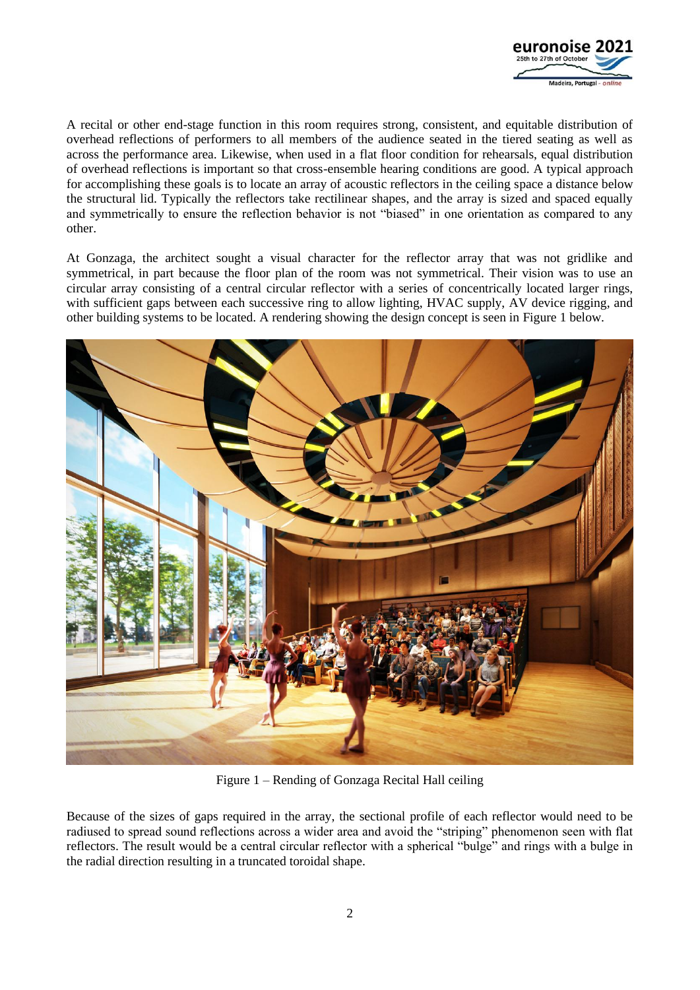

A recital or other end-stage function in this room requires strong, consistent, and equitable distribution of overhead reflections of performers to all members of the audience seated in the tiered seating as well as across the performance area. Likewise, when used in a flat floor condition for rehearsals, equal distribution of overhead reflections is important so that cross-ensemble hearing conditions are good. A typical approach for accomplishing these goals is to locate an array of acoustic reflectors in the ceiling space a distance below the structural lid. Typically the reflectors take rectilinear shapes, and the array is sized and spaced equally and symmetrically to ensure the reflection behavior is not "biased" in one orientation as compared to any other.

At Gonzaga, the architect sought a visual character for the reflector array that was not gridlike and symmetrical, in part because the floor plan of the room was not symmetrical. Their vision was to use an circular array consisting of a central circular reflector with a series of concentrically located larger rings, with sufficient gaps between each successive ring to allow lighting, HVAC supply, AV device rigging, and other building systems to be located. A rendering showing the design concept is seen in [Figure 1](#page-1-0) [below.](#page-1-0)



Figure 1 – Rending of Gonzaga Recital Hall ceiling

<span id="page-1-0"></span>Because of the sizes of gaps required in the array, the sectional profile of each reflector would need to be radiused to spread sound reflections across a wider area and avoid the "striping" phenomenon seen with flat reflectors. The result would be a central circular reflector with a spherical "bulge" and rings with a bulge in the radial direction resulting in a truncated toroidal shape.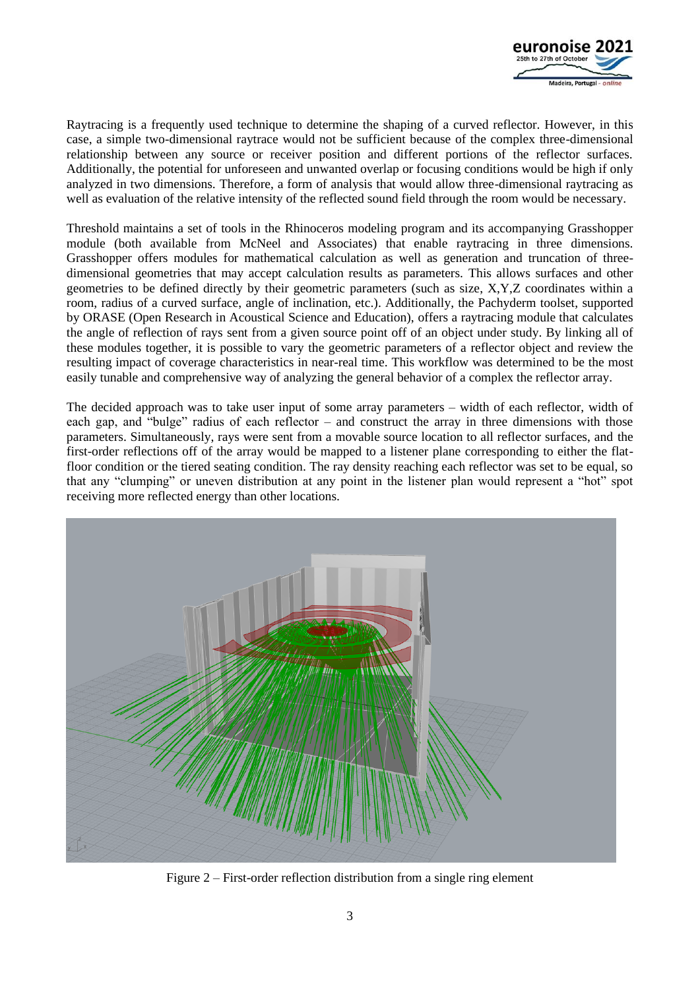

Raytracing is a frequently used technique to determine the shaping of a curved reflector. However, in this case, a simple two-dimensional raytrace would not be sufficient because of the complex three-dimensional relationship between any source or receiver position and different portions of the reflector surfaces. Additionally, the potential for unforeseen and unwanted overlap or focusing conditions would be high if only analyzed in two dimensions. Therefore, a form of analysis that would allow three-dimensional raytracing as well as evaluation of the relative intensity of the reflected sound field through the room would be necessary.

Threshold maintains a set of tools in the Rhinoceros modeling program and its accompanying Grasshopper module (both available from McNeel and Associates) that enable raytracing in three dimensions. Grasshopper offers modules for mathematical calculation as well as generation and truncation of threedimensional geometries that may accept calculation results as parameters. This allows surfaces and other geometries to be defined directly by their geometric parameters (such as size, X,Y,Z coordinates within a room, radius of a curved surface, angle of inclination, etc.). Additionally, the Pachyderm toolset, supported by ORASE (Open Research in Acoustical Science and Education), offers a raytracing module that calculates the angle of reflection of rays sent from a given source point off of an object under study. By linking all of these modules together, it is possible to vary the geometric parameters of a reflector object and review the resulting impact of coverage characteristics in near-real time. This workflow was determined to be the most easily tunable and comprehensive way of analyzing the general behavior of a complex the reflector array.

The decided approach was to take user input of some array parameters – width of each reflector, width of each gap, and "bulge" radius of each reflector – and construct the array in three dimensions with those parameters. Simultaneously, rays were sent from a movable source location to all reflector surfaces, and the first-order reflections off of the array would be mapped to a listener plane corresponding to either the flatfloor condition or the tiered seating condition. The ray density reaching each reflector was set to be equal, so that any "clumping" or uneven distribution at any point in the listener plan would represent a "hot" spot receiving more reflected energy than other locations.



Figure 2 – First-order reflection distribution from a single ring element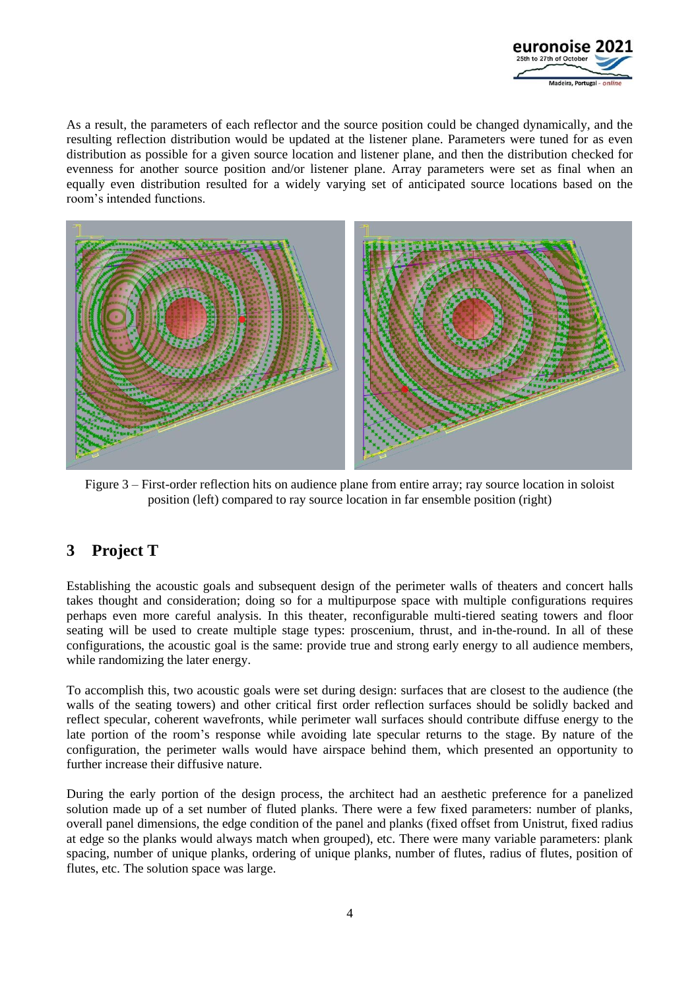

As a result, the parameters of each reflector and the source position could be changed dynamically, and the resulting reflection distribution would be updated at the listener plane. Parameters were tuned for as even distribution as possible for a given source location and listener plane, and then the distribution checked for evenness for another source position and/or listener plane. Array parameters were set as final when an equally even distribution resulted for a widely varying set of anticipated source locations based on the room's intended functions.



Figure 3 – First-order reflection hits on audience plane from entire array; ray source location in soloist position (left) compared to ray source location in far ensemble position (right)

# **3 Project T**

Establishing the acoustic goals and subsequent design of the perimeter walls of theaters and concert halls takes thought and consideration; doing so for a multipurpose space with multiple configurations requires perhaps even more careful analysis. In this theater, reconfigurable multi-tiered seating towers and floor seating will be used to create multiple stage types: proscenium, thrust, and in-the-round. In all of these configurations, the acoustic goal is the same: provide true and strong early energy to all audience members, while randomizing the later energy.

To accomplish this, two acoustic goals were set during design: surfaces that are closest to the audience (the walls of the seating towers) and other critical first order reflection surfaces should be solidly backed and reflect specular, coherent wavefronts, while perimeter wall surfaces should contribute diffuse energy to the late portion of the room's response while avoiding late specular returns to the stage. By nature of the configuration, the perimeter walls would have airspace behind them, which presented an opportunity to further increase their diffusive nature.

During the early portion of the design process, the architect had an aesthetic preference for a panelized solution made up of a set number of fluted planks. There were a few fixed parameters: number of planks, overall panel dimensions, the edge condition of the panel and planks (fixed offset from Unistrut, fixed radius at edge so the planks would always match when grouped), etc. There were many variable parameters: plank spacing, number of unique planks, ordering of unique planks, number of flutes, radius of flutes, position of flutes, etc. The solution space was large.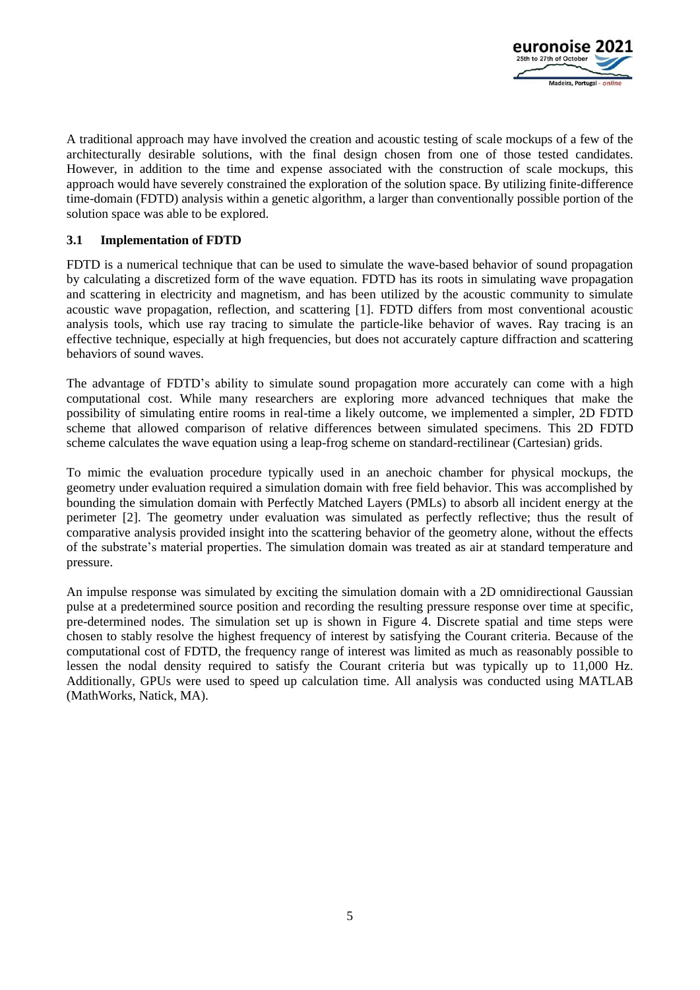

A traditional approach may have involved the creation and acoustic testing of scale mockups of a few of the architecturally desirable solutions, with the final design chosen from one of those tested candidates. However, in addition to the time and expense associated with the construction of scale mockups, this approach would have severely constrained the exploration of the solution space. By utilizing finite-difference time-domain (FDTD) analysis within a genetic algorithm, a larger than conventionally possible portion of the solution space was able to be explored.

#### **3.1 Implementation of FDTD**

FDTD is a numerical technique that can be used to simulate the wave-based behavior of sound propagation by calculating a discretized form of the wave equation. FDTD has its roots in simulating wave propagation and scattering in electricity and magnetism, and has been utilized by the acoustic community to simulate acoustic wave propagation, reflection, and scattering [1]. FDTD differs from most conventional acoustic analysis tools, which use ray tracing to simulate the particle-like behavior of waves. Ray tracing is an effective technique, especially at high frequencies, but does not accurately capture diffraction and scattering behaviors of sound waves.

The advantage of FDTD's ability to simulate sound propagation more accurately can come with a high computational cost. While many researchers are exploring more advanced techniques that make the possibility of simulating entire rooms in real-time a likely outcome, we implemented a simpler, 2D FDTD scheme that allowed comparison of relative differences between simulated specimens. This 2D FDTD scheme calculates the wave equation using a leap-frog scheme on standard-rectilinear (Cartesian) grids.

To mimic the evaluation procedure typically used in an anechoic chamber for physical mockups, the geometry under evaluation required a simulation domain with free field behavior. This was accomplished by bounding the simulation domain with Perfectly Matched Layers (PMLs) to absorb all incident energy at the perimeter [2]. The geometry under evaluation was simulated as perfectly reflective; thus the result of comparative analysis provided insight into the scattering behavior of the geometry alone, without the effects of the substrate's material properties. The simulation domain was treated as air at standard temperature and pressure.

An impulse response was simulated by exciting the simulation domain with a 2D omnidirectional Gaussian pulse at a predetermined source position and recording the resulting pressure response over time at specific, pre-determined nodes. The simulation set up is shown in [Figure 4.](#page-5-0) Discrete spatial and time steps were chosen to stably resolve the highest frequency of interest by satisfying the Courant criteria. Because of the computational cost of FDTD, the frequency range of interest was limited as much as reasonably possible to lessen the nodal density required to satisfy the Courant criteria but was typically up to 11,000 Hz. Additionally, GPUs were used to speed up calculation time. All analysis was conducted using MATLAB (MathWorks, Natick, MA).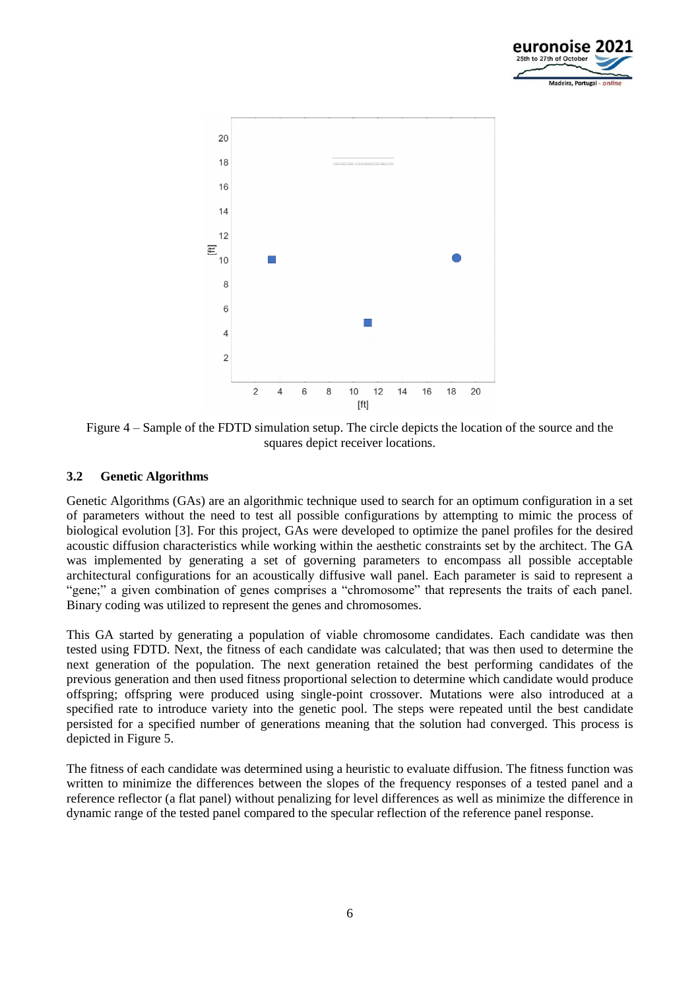



<span id="page-5-0"></span>Figure 4 – Sample of the FDTD simulation setup. The circle depicts the location of the source and the squares depict receiver locations.

#### **3.2 Genetic Algorithms**

Genetic Algorithms (GAs) are an algorithmic technique used to search for an optimum configuration in a set of parameters without the need to test all possible configurations by attempting to mimic the process of biological evolution [3]. For this project, GAs were developed to optimize the panel profiles for the desired acoustic diffusion characteristics while working within the aesthetic constraints set by the architect. The GA was implemented by generating a set of governing parameters to encompass all possible acceptable architectural configurations for an acoustically diffusive wall panel. Each parameter is said to represent a "gene;" a given combination of genes comprises a "chromosome" that represents the traits of each panel. Binary coding was utilized to represent the genes and chromosomes.

This GA started by generating a population of viable chromosome candidates. Each candidate was then tested using FDTD. Next, the fitness of each candidate was calculated; that was then used to determine the next generation of the population. The next generation retained the best performing candidates of the previous generation and then used fitness proportional selection to determine which candidate would produce offspring; offspring were produced using single-point crossover. Mutations were also introduced at a specified rate to introduce variety into the genetic pool. The steps were repeated until the best candidate persisted for a specified number of generations meaning that the solution had converged. This process is depicted in [Figure 5.](#page-6-0)

The fitness of each candidate was determined using a heuristic to evaluate diffusion. The fitness function was written to minimize the differences between the slopes of the frequency responses of a tested panel and a reference reflector (a flat panel) without penalizing for level differences as well as minimize the difference in dynamic range of the tested panel compared to the specular reflection of the reference panel response.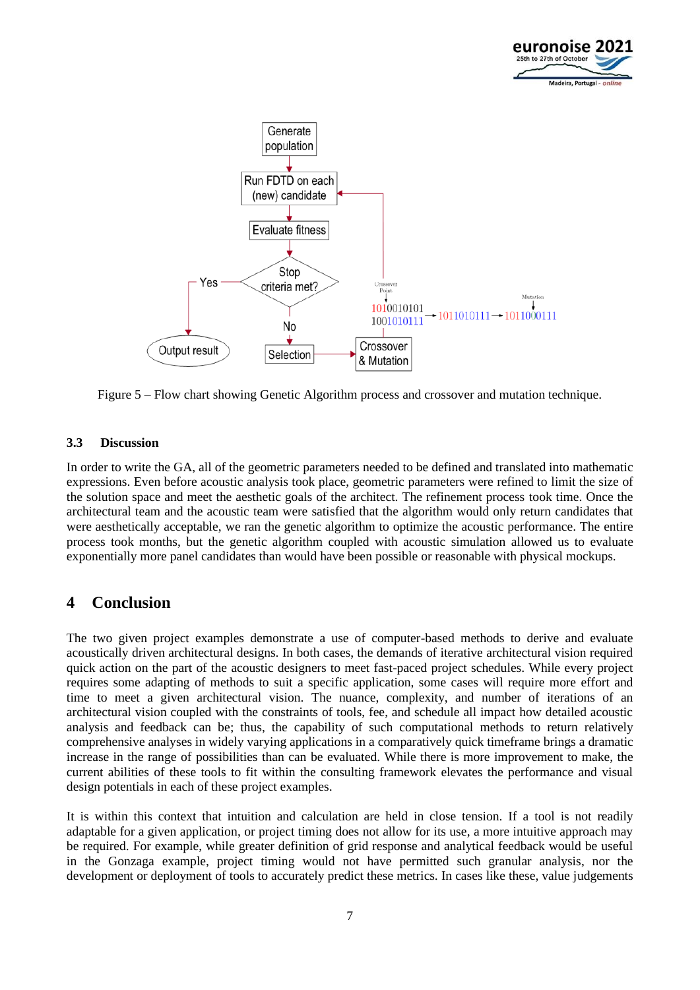



<span id="page-6-0"></span>Figure 5 – Flow chart showing Genetic Algorithm process and crossover and mutation technique.

#### **3.3 Discussion**

In order to write the GA, all of the geometric parameters needed to be defined and translated into mathematic expressions. Even before acoustic analysis took place, geometric parameters were refined to limit the size of the solution space and meet the aesthetic goals of the architect. The refinement process took time. Once the architectural team and the acoustic team were satisfied that the algorithm would only return candidates that were aesthetically acceptable, we ran the genetic algorithm to optimize the acoustic performance. The entire process took months, but the genetic algorithm coupled with acoustic simulation allowed us to evaluate exponentially more panel candidates than would have been possible or reasonable with physical mockups.

# **4 Conclusion**

The two given project examples demonstrate a use of computer-based methods to derive and evaluate acoustically driven architectural designs. In both cases, the demands of iterative architectural vision required quick action on the part of the acoustic designers to meet fast-paced project schedules. While every project requires some adapting of methods to suit a specific application, some cases will require more effort and time to meet a given architectural vision. The nuance, complexity, and number of iterations of an architectural vision coupled with the constraints of tools, fee, and schedule all impact how detailed acoustic analysis and feedback can be; thus, the capability of such computational methods to return relatively comprehensive analyses in widely varying applications in a comparatively quick timeframe brings a dramatic increase in the range of possibilities than can be evaluated. While there is more improvement to make, the current abilities of these tools to fit within the consulting framework elevates the performance and visual design potentials in each of these project examples.

It is within this context that intuition and calculation are held in close tension. If a tool is not readily adaptable for a given application, or project timing does not allow for its use, a more intuitive approach may be required. For example, while greater definition of grid response and analytical feedback would be useful in the Gonzaga example, project timing would not have permitted such granular analysis, nor the development or deployment of tools to accurately predict these metrics. In cases like these, value judgements